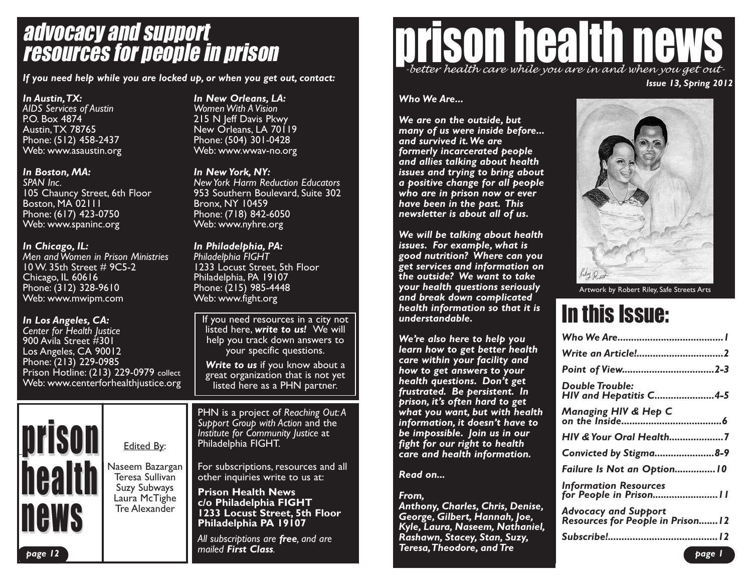# advocacy and support resources for people in prison

*If you need help while you are locked up, or when you get out, contact:*

*In Austin,TX: AIDS Services of Austin* P.O. Box 4874 Austin,TX 78765 Phone: (512) 458-2437 Web: www.asaustin.org

#### *In Boston, MA:*

*SPAN Inc.* 105 Chauncy Street, 6th Floor Boston, MA 02111 Phone: (617) 423-0750 Web: www.spaninc.org

#### *In Chicago, IL:*

*Men and Women in Prison Ministries* 10 W. 35th Street # 9C5-2 Chicago, IL 60616 Phone: (312) 328-9610 Web: www.mwipm.com

#### *In Los Angeles, CA:*

prison

<u>nearm</u>

**news** 

*page 12*

*Center for Health Justice* 900 Avila Street #301 Los Angeles, CA 90012 Phone: (213) 229-0985 Prison Hotline: (213) 229-0979 collect Web: www.centerforhealthjustice.org

Edited By:

Naseem Bazargan Teresa Sullivan Suzy Subways Laura McTighe Tre Alexander

#### *In New Orleans, LA: Women With A Vision* 215 N Jeff Davis Pkwy

New Orleans, LA 70119 Phone: (504) 301-0428 Web: www.wwav-no.org

#### *In New York, NY:*

*NewYork Harm Reduction Educators* 953 Southern Boulevard, Suite 302 Bronx, NY 10459 Phone: (718) 842-6050 Web: www.nyhre.org

#### *In Philadelphia, PA: Philadelphia FIGHT* 1233 Locust Street, 5th Floor Philadelphia, PA 19107 Phone: (215) 985-4448 Web: www.fight.org

If you need resources in a city not listed here, *write to us!* We will help you track down answers to your specific questions.

*Write to us* if you know about a great organization that is not yet listed here as a PHN partner.

PHN is a project of *Reaching Out:A Support Group with Action* and the *Institute for Community Justice* at Philadelphia FIGHT.

For subscriptions, resources and all other inquiries write to us at:

**Prison Health News c/o Philadelphia FIGHT 1233 Locust Street, 5th Floor Philadelphia PA 19107**

*All subscriptions are free, and are mailed First Class.*

# ison health new *Issue 13, Spring 2012 -better health care while you are in and when you get out-*

#### *Who We Are...*

*We are on the outside, but many of us were inside before... and survived it.We are formerly incarcerated people and allies talking about health issues and trying to bring about a positive change for all people who are in prison now or ever have been in the past. This newsletter is about all of us.*

*We will be talking about health issues. For example, what is good nutrition? Where can you get services and information on the outside? We want to take your health questions seriously and break down complicated health information so that it is understandable.*

*We're also here to help you learn how to get better health care within your facility and how to get answers to your health questions. Don't get frustrated. Be persistent. In prison, it's often hard to get what you want, but with health information, it doesn't have to be impossible. Join us in our fight for our right to health care and health information.*

#### *Read on...*

*From, Anthony, Charles, Chris, Denise, George, Gilbert, Hannah, Joe, Kyle, Laura, Naseem, Nathaniel, Rashawn, Stacey, Stan, Suzy, Teresa,Theodore, and Tre*



Artwork by Robert Riley, Safe Streets Arts

# In this Issue:

| Double Trouble:<br><b>HIV and Hepatitis C4-5</b>                        |
|-------------------------------------------------------------------------|
| Managing HIV & Hep C                                                    |
| HIV & Your Oral Health7                                                 |
| Convicted by Stigma8-9                                                  |
| Failure Is Not an Option 10                                             |
| <b>Information Resources</b><br>for People in Prison 11                 |
| <b>Advocacy and Support</b><br><b>Resources for People in Prison 12</b> |
|                                                                         |
|                                                                         |

*page 1*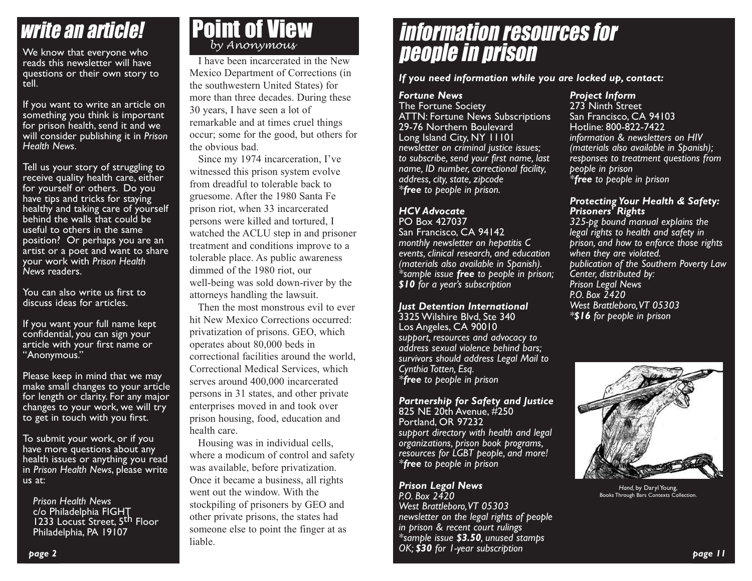# write an article!

We know that everyone who reads this newsletter will have questions or their own story to tell.

If you want to write an article on something you think is important for prison health, send it and we will consider publishing it in *Prison Health News*.

Tell us your story of struggling to receive quality health care, either for yourself or others. Do you have tips and tricks for staying healthy and taking care of yourself behind the walls that could be useful to others in the same position? Or perhaps you are an artist or a poet and want to share your work with *Prison Health News* readers.

You can also write us first to discuss ideas for articles.

If you want your full name kept confidential, you can sign your article with your first name or "Anonymous."

Please keep in mind that we may make small changes to your article for length or clarity. For any major changes to your work, we will try to get in touch with you first.

To submit your work, or if you have more questions about any health issues or anything you read in *Prison Health News*, please write us at:

*Prison Health News* c/o Philadelphia FIGHT 1233 Locust Street, 5<sup>th</sup> Floor Philadelphia, PA 19107

## Point of View *by Anonymous*

I have been incarcerated in the New Mexico Department of Corrections (in the southwestern United States) for more than three decades. During these 30 years, I have seen a lot of remarkable and at times cruel things occur; some for the good, but others for the obvious bad.

Since my 1974 incarceration, I've witnessed this prison system evolve from dreadful to tolerable back to gruesome. After the 1980 Santa Fe prison riot, when 33 incarcerated persons were killed and tortured, I watched the ACLU step in and prisoner treatment and conditions improve to a tolerable place. As public awareness dimmed of the 1980 riot, our well-being was sold down-river by the attorneys handling the lawsuit.

Then the most monstrous evil to ever hit New Mexico Corrections occurred: privatization of prisons. GEO, which operates about 80,000 beds in correctional facilities around the world, Correctional Medical Services, which serves around 400,000 incarcerated persons in 31 states, and other private enterprises moved in and took over prison housing, food, education and health care.

Housing was in individual cells, where a modicum of control and safety was available, before privatization. Once it became a business, all rights went out the window. With the stockpiling of prisoners by GEO and other private prisons, the states had someone else to point the finger at as liable.

# information resources for people in prison

#### *If you need information while you are locked up, contact:*

### *Fortune News*

The Fortune Society ATTN: Fortune News Subscriptions 29-76 Northern Boulevard Long Island City, NY 11101 *newsletter on criminal justice issues; to subscribe, send your first name, last name, ID number, correctional facility, address, city, state, zipcode \*free to people in prison.*

#### *HCV Advocate* PO Box 427037

San Francisco, CA 94142 *monthly newsletter on hepatitis C events, clinical research, and education (materials also available in Spanish). \*sample issue free to people in prison; \$10 for a year's subscription*

*Just Detention International* 3325 Wilshire Blvd, Ste 340 Los Angeles, CA 90010 *support, resources and advocacy to address sexual violence behind bars; survivors should address Legal Mail to Cynthia Totten, Esq. \*free to people in prison*

*Partnership for Safety and Justice* 825 NE 20th Avenue, #250 Portland, OR 97232 *support directory with health and legal organizations, prison book programs, resources for LGBT people, and more! \*free to people in prison*

#### *Prison Legal News P.O. Box 2420*

*West Brattleboro,VT 05303 newsletter on the legal rights of people in prison & recent court rulings \*sample issue \$3.50, unused stamps OK; \$30 for 1-year subscription*

#### *Project Inform*

273 Ninth Street San Francisco, CA 94103 Hotline: 800-822-7422 *information & newsletters on HIV (materials also available in Spanish); responses to treatment questions from people in prison \*free to people in prison*

#### *Protecting Your Health & Safety: Prisoners' Rights*

*325-pg bound manual explains the legal rights to health and safety in prison, and how to enforce those rights when they are violated. publication of the Southern Poverty Law Center, distributed by: Prison Legal News P.O. Box 2420 West Brattleboro,VT 05303 \*\$16 for people in prison*



*Hand,* by Daryl Young, Books Through Bars Contexts Collection.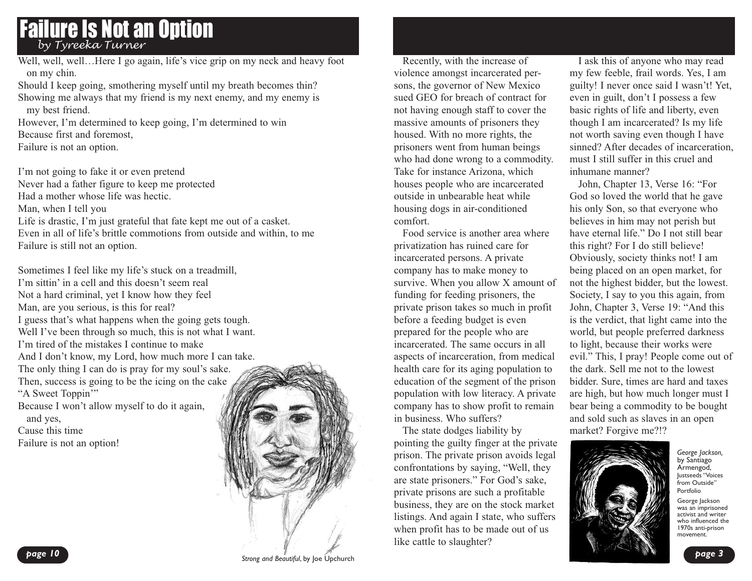### Failure Is Not an Option *by Tyreeka Turner*

Well, well, well...Here I go again, life's vice grip on my neck and heavy foot on my chin.

Should I keep going, smothering myself until my breath becomes thin? Showing me always that my friend is my next enemy, and my enemy is my best friend.

However, I'm determined to keep going, I'm determined to win Because first and foremost,

Failure is not an option.

I'm not going to fake it or even pretend Never had a father figure to keep me protected Had a mother whose life was hectic. Man, when I tell you Life is drastic, I'm just grateful that fate kept me out of a casket. Even in all of life's brittle commotions from outside and within, to me Failure is still not an option.

Sometimes I feel like my life's stuck on a treadmill, I'm sittin' in a cell and this doesn't seem real Not a hard criminal, yet I know how they feel Man, are you serious, is this for real? I guess that's what happens when the going gets tough. Well I've been through so much, this is not what I want. I'm tired of the mistakes I continue to make And I don't know, my Lord, how much more I can take. The only thing I can do is pray for my soul's sake. Then, success is going to be the icing on the cake "A Sweet Toppin" Because I won't allow myself to do it again, and yes, Cause this time

Recently, with the increase of violence amongst incarcerated persons, the governor of New Mexico sued GEO for breach of contract for not having enough staff to cover the massive amounts of prisoners they housed. With no more rights, the prisoners went from human beings who had done wrong to a commodity. Take for instance Arizona, which houses people who are incarcerated outside in unbearable heat while housing dogs in air-conditioned comfort.

Food service is another area where privatization has ruined care for incarcerated persons. A private company has to make money to survive. When you allow X amount of funding for feeding prisoners, the private prison takes so much in profit before a feeding budget is even prepared for the people who are incarcerated. The same occurs in all aspects of incarceration, from medical health care for its aging population to education of the segment of the prison population with low literacy. A private company has to show profit to remain in business. Who suffers?

The state dodges liability by pointing the guilty finger at the private prison. The private prison avoids legal confrontations by saying, "Well, they are state prisoners." For God's sake, private prisons are such a profitable business, they are on the stock market listings. And again I state, who suffers when profit has to be made out of us like cattle to slaughter?

I ask this of anyone who may read my few feeble, frail words. Yes, I am guilty! I never once said I wasn't! Yet, even in guilt, don't I possess a few basic rights of life and liberty, even though I am incarcerated? Is my life not worth saving even though I have sinned? After decades of incarceration, must I still suffer in this cruel and inhumane manner?

John, Chapter 13, Verse 16: "For God so loved the world that he gave his only Son, so that everyone who believes in him may not perish but have eternal life." Do I not still bear this right? For I do still believe! Obviously, society thinks not! I am being placed on an open market, for not the highest bidder, but the lowest. Society, I say to you this again, from John, Chapter 3, Verse 19: "And this is the verdict, that light came into the world, but people preferred darkness to light, because their works were evil." This, I pray! People come out of the dark. Sell me not to the lowest bidder. Sure, times are hard and taxes are high, but how much longer must I bear being a commodity to be bought and sold such as slaves in an open market? Forgive me?!?



*George Jackson,* by Santiago Armengod, Justseeds "Voices from Outside" Portfolio

George Jackson was an imprisoned activist and writer who influenced the 1970s anti-prison<br>movement

Failure is not an option!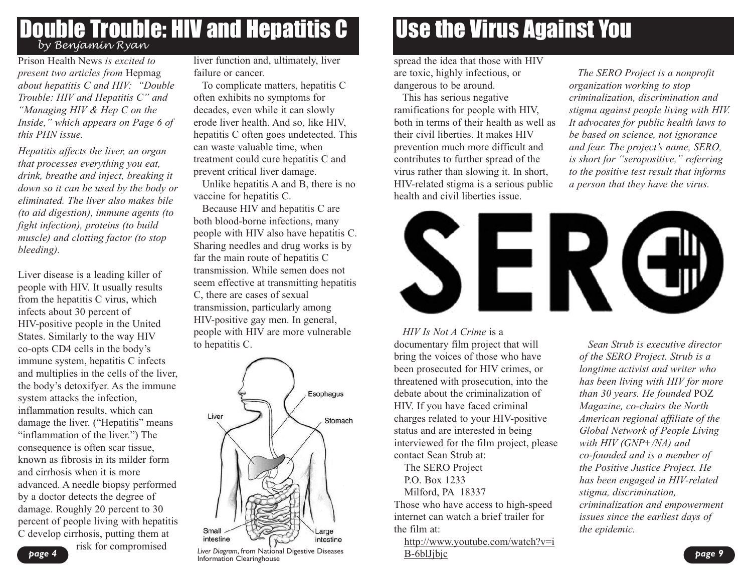### **Double Trouble: HIV and Hepatitis C** *by Benjamin Ryan*

Prison Health News *is excited to present two articles from* Hepmag *about hepatitis C and HIV: "Double Trouble: HIV and Hepatitis C" and "Managing HIV & Hep C on the Inside," which appears on Page 6 of this PHN issue.*

*Hepatitis affects the liver, an organ that processes everything you eat, drink, breathe and inject, breaking it down so it can be used by the body or eliminated. The liver also makes bile (to aid digestion), immune agents (to fight infection), proteins (to build muscle) and clotting factor (to stop bleeding).*

Liver disease is a leading killer of people with HIV. It usually results from the hepatitis C virus, which infects about 30 percent of HIV-positive people in the United States. Similarly to the way HIV co-opts CD4 cells in the body's immune system, hepatitis C infects and multiplies in the cells of the liver, the body's detoxifyer. As the immune system attacks the infection, inflammation results, which can damage the liver. ("Hepatitis" means "inflammation of the liver.") The consequence is often scar tissue, known as fibrosis in its milder form and cirrhosis when it is more advanced. A needle biopsy performed by a doctor detects the degree of damage. Roughly 20 percent to 30 percent of people living with hepatitis C develop cirrhosis, putting them at risk for compromised

liver function and, ultimately, liver failure or cancer.

To complicate matters, hepatitis C often exhibits no symptoms for decades, even while it can slowly erode liver health. And so, like HIV, hepatitis C often goes undetected. This can waste valuable time, when treatment could cure hepatitis C and prevent critical liver damage.

Unlike hepatitis A and B, there is no vaccine for hepatitis C.

Because HIV and hepatitis C are both blood-borne infections, many people with HIV also have hepatitis C. Sharing needles and drug works is by far the main route of hepatitis C transmission. While semen does not seem effective at transmitting hepatitis C, there are cases of sexual transmission, particularly among HIV-positive gay men. In general, people with HIV are more vulnerable to hepatitis C.



**page 4** *Page 4 Page 4 Page 4 Page 4 Page 4 Page 4 Page 10 <b><i>Page 4 Page 10 <b>Page 10 Page 10 <b>Page 10 Page 100 Page 100 Page 100 Page 100 Page 100 Page 100 Page 100 Page* 

# Use the Virus Against You

spread the idea that those with HIV are toxic, highly infectious, or dangerous to be around.

This has serious negative ramifications for people with HIV, both in terms of their health as well as their civil liberties. It makes HIV prevention much more difficult and contributes to further spread of the virus rather than slowing it. In short, HIV-related stigma is a serious public health and civil liberties issue.

*The SERO Project is a nonprofit organization working to stop criminalization, discrimination and stigma against people living with HIV. It advocates for public health laws to be based on science, not ignorance and fear. The project's name, SERO, is short for "seropositive," referring to the positive test result that informs a person that they have the virus.*



*HIV Is Not A Crime* is a

documentary film project that will bring the voices of those who have been prosecuted for HIV crimes, or threatened with prosecution, into the debate about the criminalization of HIV. If you have faced criminal charges related to your HIV-positive status and are interested in being interviewed for the film project, please contact Sean Strub at:

The SERO Project P.O. Box 1233 Milford, PA 18337

Those who have access to high-speed internet can watch a brief trailer for the film at:

http://www.youtube.com/watch?v=i B-6blJjbjc

*Sean Strub is executive director of the SERO Project. Strub is a longtime activist and writer who has been living with HIV for more than 30 years. He founded* POZ *Magazine, co-chairs the North American regional affiliate of the Global Network of People Living with HIV (GNP+/NA) and co-founded and is a member of the Positive Justice Project. He has been engaged in HIV-related stigma, discrimination, criminalization and empowerment issues since the earliest days of the epidemic.*

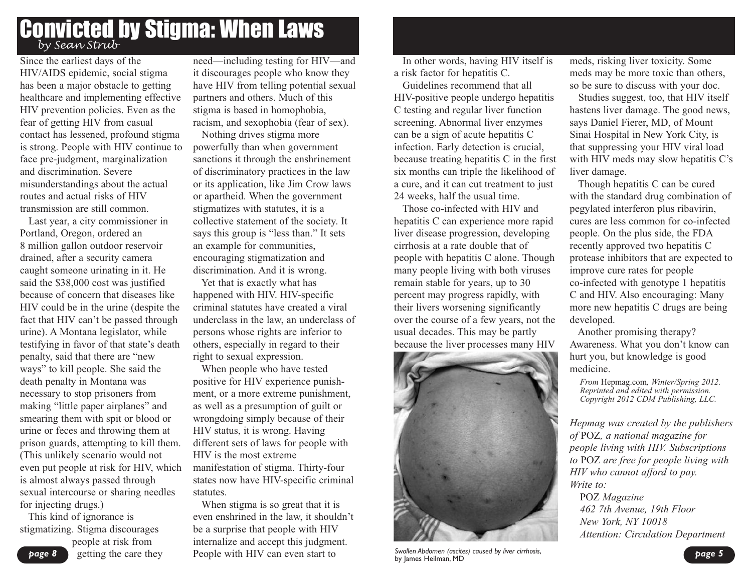### Convicted by Stigma: When Laws *by Sean Strub*

Since the earliest days of the HIV/AIDS epidemic, social stigma has been a major obstacle to getting healthcare and implementing effective HIV prevention policies. Even as the fear of getting HIV from casual contact has lessened, profound stigma is strong. People with HIV continue to face pre-judgment, marginalization and discrimination. Severe misunderstandings about the actual routes and actual risks of HIV transmission are still common.

Last year, a city commissioner in Portland, Oregon, ordered an 8 million gallon outdoor reservoir drained, after a security camera caught someone urinating in it. He said the \$38,000 cost was justified because of concern that diseases like HIV could be in the urine (despite the fact that HIV can't be passed through urine). A Montana legislator, while testifying in favor of that state's death penalty, said that there are "new ways" to kill people. She said the death penalty in Montana was necessary to stop prisoners from making "little paper airplanes" and smearing them with spit or blood or urine or feces and throwing them at prison guards, attempting to kill them. (This unlikely scenario would not even put people at risk for HIV, which is almost always passed through sexual intercourse or sharing needles for injecting drugs.)

This kind of ignorance is stigmatizing. Stigma discourages people at risk from getting the care they need—including testing for HIV—and it discourages people who know they have HIV from telling potential sexual partners and others. Much of this stigma is based in homophobia, racism, and sexophobia (fear of sex).

Nothing drives stigma more powerfully than when government sanctions it through the enshrinement of discriminatory practices in the law or its application, like Jim Crow laws or apartheid. When the government stigmatizes with statutes, it is a collective statement of the society. It says this group is "less than." It sets an example for communities, encouraging stigmatization and discrimination. And it is wrong.

Yet that is exactly what has happened with HIV. HIV-specific criminal statutes have created a viral underclass in the law, an underclass of persons whose rights are inferior to others, especially in regard to their right to sexual expression.

When people who have tested positive for HIV experience punishment, or a more extreme punishment, as well as a presumption of guilt or wrongdoing simply because of their HIV status, it is wrong. Having different sets of laws for people with HIV is the most extreme manifestation of stigma. Thirty-four states now have HIV-specific criminal statutes.

When stigma is so great that it is even enshrined in the law, it shouldn't be a surprise that people with HIV internalize and accept this judgment. People with HIV can even start to

In other words, having HIV itself is a risk factor for hepatitis C.

Guidelines recommend that all HIV-positive people undergo hepatitis C testing and regular liver function screening. Abnormal liver enzymes can be a sign of acute hepatitis C infection. Early detection is crucial, because treating hepatitis C in the first six months can triple the likelihood of a cure, and it can cut treatment to just 24 weeks, half the usual time.

Those co-infected with HIV and hepatitis C can experience more rapid liver disease progression, developing cirrhosis at a rate double that of people with hepatitis C alone. Though many people living with both viruses remain stable for years, up to 30 percent may progress rapidly, with their livers worsening significantly over the course of a few years, not the usual decades. This may be partly because the liver processes many HIV



*page 5 Swollen Abdomen (ascites) caused by liver cirrhosis*, by James Heilman, MD

meds, risking liver toxicity. Some meds may be more toxic than others, so be sure to discuss with your doc.

Studies suggest, too, that HIV itself hastens liver damage. The good news, says Daniel Fierer, MD, of Mount Sinai Hospital in New York City, is that suppressing your HIV viral load with HIV meds may slow hepatitis C's liver damage.

Though hepatitis C can be cured with the standard drug combination of pegylated interferon plus ribavirin, cures are less common for co-infected people. On the plus side, the FDA recently approved two hepatitis C protease inhibitors that are expected to improve cure rates for people co-infected with genotype 1 hepatitis C and HIV. Also encouraging: Many more new hepatitis C drugs are being developed.

Another promising therapy? Awareness. What you don't know can hurt you, but knowledge is good medicine.

*From* Hepmag.com*, Winter/Spring 2012. Reprinted and edited with permission. Copyright <sup>2012</sup> CDM Publishing, LLC.*

*Hepmag was created by the publishers of* POZ*, a national magazine for people living with HIV. Subscriptions to* POZ *are free for people living with HIV who cannot afford to pay. Write to:* POZ *Magazine*

*462 7th Avenue, 19th Floor New York, NY 10018 Attention: Circulation Department*

*page 8*